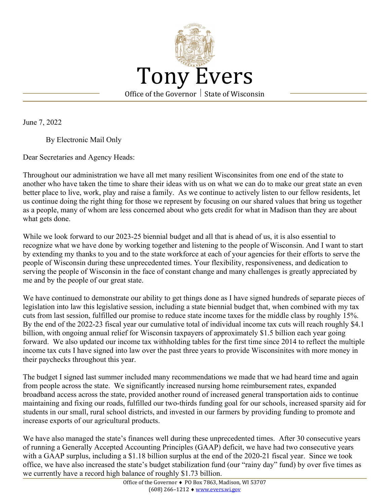

June 7, 2022

By Electronic Mail Only

Dear Secretaries and Agency Heads:

Throughout our administration we have all met many resilient Wisconsinites from one end of the state to another who have taken the time to share their ideas with us on what we can do to make our great state an even better place to live, work, play and raise a family. As we continue to actively listen to our fellow residents, let us continue doing the right thing for those we represent by focusing on our shared values that bring us together as a people, many of whom are less concerned about who gets credit for what in Madison than they are about what gets done.

While we look forward to our 2023-25 biennial budget and all that is ahead of us, it is also essential to recognize what we have done by working together and listening to the people of Wisconsin. And I want to start by extending my thanks to you and to the state workforce at each of your agencies for their efforts to serve the people of Wisconsin during these unprecedented times. Your flexibility, responsiveness, and dedication to serving the people of Wisconsin in the face of constant change and many challenges is greatly appreciated by me and by the people of our great state.

We have continued to demonstrate our ability to get things done as I have signed hundreds of separate pieces of legislation into law this legislative session, including a state biennial budget that, when combined with my tax cuts from last session, fulfilled our promise to reduce state income taxes for the middle class by roughly 15%. By the end of the 2022-23 fiscal year our cumulative total of individual income tax cuts will reach roughly \$4.1 billion, with ongoing annual relief for Wisconsin taxpayers of approximately \$1.5 billion each year going forward. We also updated our income tax withholding tables for the first time since 2014 to reflect the multiple income tax cuts I have signed into law over the past three years to provide Wisconsinites with more money in their paychecks throughout this year.

The budget I signed last summer included many recommendations we made that we had heard time and again from people across the state. We significantly increased nursing home reimbursement rates, expanded broadband access across the state, provided another round of increased general transportation aids to continue maintaining and fixing our roads, fulfilled our two-thirds funding goal for our schools, increased sparsity aid for students in our small, rural school districts, and invested in our farmers by providing funding to promote and increase exports of our agricultural products.

We have also managed the state's finances well during these unprecedented times. After 30 consecutive years of running a Generally Accepted Accounting Principles (GAAP) deficit, we have had two consecutive years with a GAAP surplus, including a \$1.18 billion surplus at the end of the 2020-21 fiscal year. Since we took office, we have also increased the state's budget stabilization fund (our "rainy day" fund) by over five times as we currently have a record high balance of roughly \$1.73 billion.